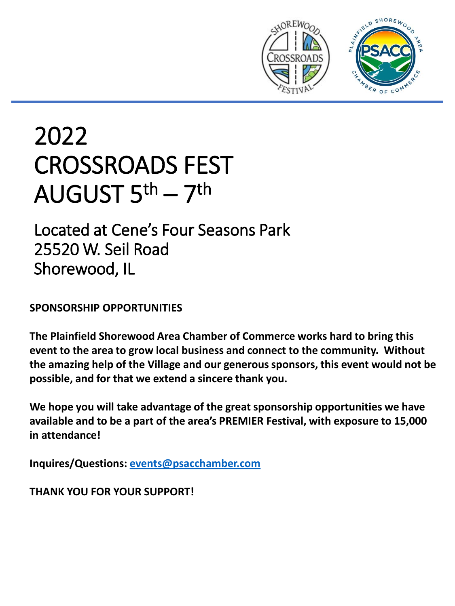

# 2022 CROSSROADS FEST AUGUST 5<sup>th</sup> – 7<sup>th</sup>

Located at Cene's Four Seasons Park 25520 W. Seil Road Shorewood, IL

**SPONSORSHIP OPPORTUNITIES**

**The Plainfield Shorewood Area Chamber of Commerce works hard to bring this event to the area to grow local business and connect to the community. Without the amazing help of the Village and our generous sponsors, this event would not be possible, and for that we extend a sincere thank you.**

**We hope you will take advantage of the great sponsorship opportunities we have available and to be a part of the area's PREMIER Festival, with exposure to 15,000 in attendance!**

**Inquires/Questions: [events@psacchamber.com](mailto:events@psacchamber.com)**

**THANK YOU FOR YOUR SUPPORT!**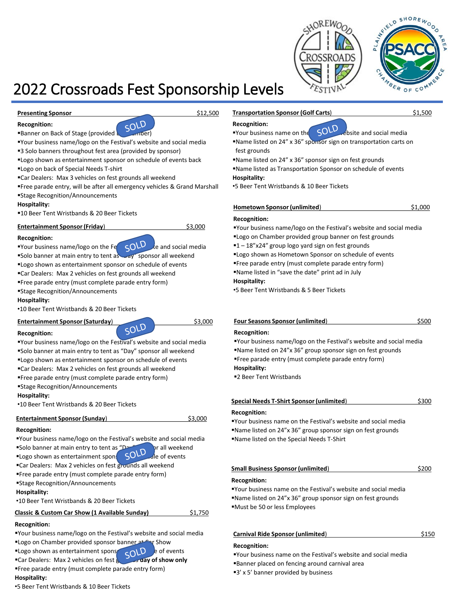



# 2022 Crossroads Fest Sponsorship Levels

**Presenting Sponsor** \$12,500

**Recognition:**



▪Your business name/logo on the Festival's website and social media

- ■3 Solo banners throughout fest area (provided by sponsor)
- ▪Logo shown as entertainment sponsor on schedule of events back
- ▪Logo on back of Special Needs T-shirt
- ▪Car Dealers: Max 3 vehicles on fest grounds all weekend
- ▪Free parade entry, will be after all emergency vehicles & Grand Marshall ▪Stage Recognition/Announcements

#### **Hospitality:**

■10 Beer Tent Wristbands & 20 Beer Tickets

#### **Entertainment Sponsor (Friday)** \$3,000

#### **Recognition:**

**•Your business name/logo on the Fe**  $\varsigma$ OLD the and social media **"Solo banner at main entry to tent as**  $\sim$ **ay" sponsor all weekend** 

- ▪Logo shown as entertainment sponsor on schedule of events
- ▪Car Dealers: Max 2 vehicles on fest grounds all weekend
- ▪Free parade entry (must complete parade entry form)
- ▪Stage Recognition/Announcements

#### **Hospitality:**

•10 Beer Tent Wristbands & 20 Beer Tickets

# **Entertainment Sponsor (Saturday)** \$3,000<br>Recognition

**Recognition:**

▪Your business name/logo on the Festival's website and social media

- ▪Solo banner at main entry to tent as "Day" sponsor all weekend ▪Logo shown as entertainment sponsor on schedule of events
- ▪Car Dealers: Max 2 vehicles on fest grounds all weekend
- ▪Free parade entry (must complete parade entry form)
- ▪Stage Recognition/Announcements

#### **Hospitality:**

•10 Beer Tent Wristbands & 20 Beer Tickets

#### **Entertainment Sponsor (Sunday)** \$3,000

#### **Recognition:**

- ▪Your business name/logo on the Festival's website and social media
- ■Solo banner at main entry to tent as "Day" sponsor all weekend
- **ELogo shown as entertainment sponsor SOLD** all of events
- **ECar Dealers: Max 2 vehicles on fest grounds all weekend**
- ▪Free parade entry (must complete parade entry form)
- ▪Stage Recognition/Announcements

#### **Hospitality:**

- •10 Beer Tent Wristbands & 20 Beer Tickets
- **Classic & Custom Car Show (1 Available Sunday)** \$1,750

#### **Recognition:**

- ▪Your business name/logo on the Festival's website and social media
- **ELogo on Chamber provided sponsor banner at Car Show**<br>**Example 2014** of example and car Dealers: May 2014 **ELogo shown as entertainment sponsor on Schedule of events**
- **Example 1 Car Dealers: Max 2 vehicles on fest a conduct of show only**
- ▪Free parade entry (must complete parade entry form)

#### **Hospitality:**

•5 Beer Tent Wristbands & 10 Beer Tickets

### **Transportation Sponsor (Golf Carts)** \$1,500

#### **Recognition:**

- **•Your business name on the**  $\sim$  **SOLD** rebsite and social media
- ▪Name listed on 24" x 36" sponsor sign on transportation carts on fest grounds
- ▪Name listed on 24" x 36" sponsor sign on fest grounds
- ■Name listed as Transportation Sponsor on schedule of events **Hospitality:**

•5 Beer Tent Wristbands & 10 Beer Tickets

#### **Hometown Sponsor (unlimited)** \$1,000

#### **Recognition:**

▪Your business name/logo on the Festival's website and social media

- ■Logo on Chamber provided group banner on fest grounds
- ■1-18"x24" group logo yard sign on fest grounds
- **"Logo shown as Hometown Sponsor on schedule of events**
- ▪Free parade entry (must complete parade entry form)

▪Name listed in "save the date" print ad in July

#### **Hospitality:**

•5 Beer Tent Wristbands & 5 Beer Tickets

#### **Four Seasons Sponsor (unlimited)** \$500

#### **Recognition:**

▪Your business name/logo on the Festival's website and social media

▪Name listed on 24"x 36" group sponsor sign on fest grounds

▪Free parade entry (must complete parade entry form)

#### **Hospitality:**

■2 Beer Tent Wristbands

### **Special Needs T-Shirt Sponsor (unlimited**) \$300

#### **Recognition:**

▪Your business name on the Festival's website and social media ▪Name listed on 24"x 36" group sponsor sign on fest grounds ▪Name listed on the Special Needs T-Shirt

### **Small Business Sponsor (unlimited)** \$200

#### **Recognition:**

▪Your business name on the Festival's website and social media ▪Name listed on 24"x 36" group sponsor sign on fest grounds ▪Must be 50 or less Employees

#### **Carnival Ride Sponsor (unlimited)** \$150

#### **Recognition:**

- ▪Your business name on the Festival's website and social media
- ▪Banner placed on fencing around carnival area
- ■3' x 5' banner provided by business